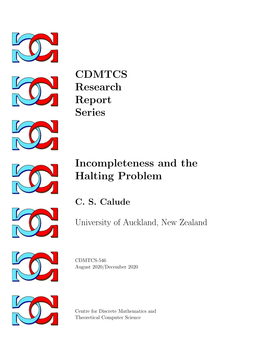



CDMTCS Research Report Series



# Incompleteness and the Halting Problem



University of Auckland, New Zealand



CDMTCS-546 August 2020/December 2020



Centre for Discrete Mathematics and Theoretical Computer Science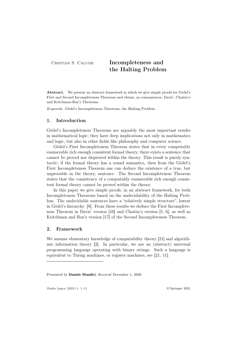## CRISTIAN S. CALUDE **Incompleteness and** the Halting Problem

Abstract. We present an abstract framework in which we give simple proofs for Gödel's First and Second Incompleteness Theorems and obtain, as consequences, Davis', Chaitin's and Kritchman-Raz's Theorems.

*Keywords*: Gödel's Incompleteness Theorems, the Halting Problem

### 1. Introduction

Gödel's Incompleteness Theorems are arguably the most important results in mathematical logic; they have deep implications not only in mathematics and logic, but also in other fields like philosophy and computer science.

Gödel's First Incompleteness Theorem states that in every computably enumerable rich enough consistent formal theory, there exists a sentence that cannot be proved nor disproved within the theory. This result is purely syntactic; if the formal theory has a sound semantics, then from the Gödel's First Incompleteness Theorem one can deduce the existence of a true, but unprovable in the theory, sentence. The Second Incompleteness Theorem states that the consistency of a computably enumerable rich enough consistent formal theory cannot be proved within the theory.

In this paper we give simple proofs, in an abstract framework, for both Incompleteness Theorems based on the undecidability of the Halting Problem. The undecidable sentences have a "relatively simple structure", lowest in Gödel's hierarchy [8]. From these results we deduce the First Incompleteness Theorem in Davis' version [10] and Chaitin's version [5, 6], as well as Kritchman and Raz's version [17] of the Second Incompleteness Theorem.

#### 2. Framework

We assume elementary knowledge of computability theory [21] and algorithmic information theory [2]. In particular, we use an (abstract) universal programming language operating with binary strings. Such a language is equivalent to Turing machines, or register machines, see [21, 11].

Presented by Daniele Mundici; *Received* December 1, 2020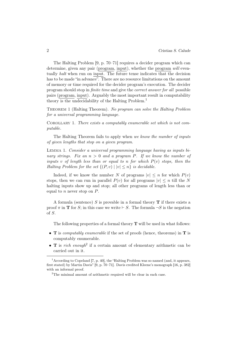The Halting Problem [9, p. 70–71] requires a decider program which can determine, given any pair (program, input), whether the program *will* eventually *halt* when run on input. The future tense indicates that the decision has to be made "in advance". There are no resource limitations on the amount of memory or time required for the decider program's execution. The decider program should stop in *finite time* and give the *correct answer for all* possible pairs (program, input). Arguably the most important result in computability theory is the undecidability of the Halting Problem.<sup>1</sup>

Theorem 1 (Halting Theorem). *No program can solve the Halting Problem for a universal programming language.*

Corollary 1. *There exists a computably enumerable set which is not computable.*

The Halting Theorem fails to apply when *we know the number of inputs of given lengths that stop on a given program*.

Lemma 1. *Consider a universal programming language having as inputs binary strings. Fix an n >* 0 *and a program P. If we know the number of inputs*  $v$  *of length less than or equal to*  $n$  *for which*  $P(v)$  *stops, then the Halting Problem for the set*  ${(P, v) | |v| < n}$  *is decidable.* 

Indeed, if we know the number *N* of programs  $|v| \leq n$  for which  $P(v)$ stops, then we can run in parallel  $P(v)$  for all programs  $|v| \leq n$  till the N halting inputs show up and stop; all other programs of length less than or equal to *n* never stop on *P*.

A formula (sentence) *S* is provable in a formal theory T if there exists a proof  $\pi$  in **T** for *S*; in this case we write  $\vdash$  *S*. The formula  $\neg S$  is the negation of *S*.

The following properties of a formal theory  $T$  will be used in what follows:

- T is *computably enumerable* if the set of proofs (hence, theorems) in T is computably enumerable.
- **T** is *rich enough*<sup>2</sup> if a certain amount of elementary arithmetic can be carried out in it.

<sup>&</sup>lt;sup>1</sup> According to Copeland [7, p. 40], the "Halting Problem was so named (and, it appears, first stated) by Martin Davis" [9, p. 70–71]. Davis credited Kleene's monograph [16, p. 382] with an informal proof.

 $2$ The minimal amount of arithmetic required will be clear in each case.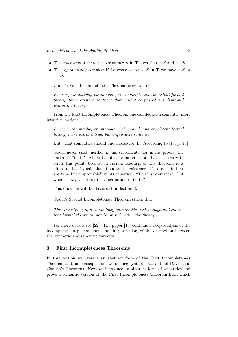- **T** is *consistent* if there is no sentence *S* in **T** such that  $\vdash S$  and  $\vdash \neg S$ .
- **T** is *syntactically complete* if for every sentence  $S$  in **T** we have  $\vdash S$  or  $\vdash \neg S$ .

Gödel's First Incompleteness Theorem is syntactic:

*In every computably enumerable, rich enough and consistent formal theory, there exists a sentence that cannot be proved nor disproved within the theory.*

From the First Incompleteness Theorem one can deduce a semantic, more intuitive, variant:

*In every computably enumerable, rich enough and consistent formal theory, there exists a true, but unprovable sentence.*

But, what semantics should one choose for T? According to [18, p. 18]

Gödel never used, neither in his statements nor in his proofs, the notion of "truth", which is not a formal concept. It is necessary to stress this point, because in current readings of this theorem, it is often too hastily said that it shows the existence of "statements that are true but unprovable" in Arithmetics. "True" statements? But where, how, according to which notion of truth?

This question will be discussed in Section 3.

Gödel's Second Incompleteness Theorem states that

*The consistency of a computably enumerable, rich enough and consistent formal theory cannot be proved within the theory.*

For more details see [22]. The paper [18] contains a deep analysis of the incompleteness phenomenon and, in particular, of the distinction between the syntactic and semantic variants.

#### 3. First Incompleteness Theorems

In this section we present an abstract form of the First Incompleteness Theorem and, as consequences, we deduce syntactic variants of Davis' and Chaitin's Theorems. Next we introduce an abstract form of semantics and prove a semantic version of the First Incompleteness Theorem from which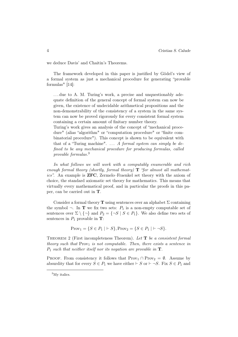we deduce Davis' and Chaitin's Theorems.

The framework developed in this paper is justified by Gödel's view of a formal system as just a mechanical procedure for generating "provable formulas" [14]:

... due to A. M. Turing's work, a precise and unquestionably adequate definition of the general concept of formal system can now be given, the existence of undecidable arithmetical propositions and the non-demonstrability of the consistency of a system in the same system can now be proved rigorously for every consistent formal system containing a certain amount of finitary number theory.

Turing's work gives an analysis of the concept of "mechanical procedure" (alias "algorithm" or "computation procedure" or "finite combinatorial procedure"). This concept is shown to be equivalent with that of a "Turing machine". . . . *A formal system can simply be defined to be any mechanical procedure for producing formulas, called provable formulas.*<sup>3</sup>

*In what follows we will work with a computably enumerable and rich enough formal theory (shortly, formal theory)* T *"for almost all mathematics".* An example is ZFC, Zermelo–Fraenkel set theory with the axiom of choice, the standard axiomatic set theory for mathematics. This means that virtually every mathematical proof, and in particular the proofs in this paper, can be carried out in T.

Consider a formal theory **T** using sentences over an alphabet  $\Sigma$  containing the symbol  $\neg$ . In **T** we fix two sets:  $P_1$  is a non-empty computable set of sentences over  $\Sigma \setminus \{\neg\}$  and  $P_2 = \{\neg S \mid S \in P_1\}$ . We also define two sets of sentences in  $P_1$  provable in **T**:

$$
Prov_1 = \{ S \in P_1 \mid \vdash S \}, Prov_2 = \{ S \in P_1 \mid \vdash \neg S \}.
$$

Theorem 2 (First incompleteness Theorem). *Let* T *be a consistent formal theory such that* Prov<sub>1</sub> *is not computable. Then, there exists a sentence in P*<sup>1</sup> *such that neither itself nor its negation are provable in* T*.*

PROOF. From consistency it follows that  $\text{Prov}_1 \cap \text{Prov}_2 = \emptyset$ . Assume by absurdity that for every  $S \in P_1$  we have either  $\vdash S$  or  $\vdash \neg S$ . Fix  $S \in P_1$  and

<sup>&</sup>lt;sup>3</sup>My italics.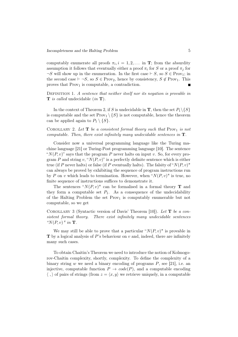computably enumerate all proofs  $\pi_i$ ,  $i = 1, 2, \ldots$  in **T**; from the absurdity assumption it follows that eventually either a proof  $\pi_i$  for *S* or a proof  $\pi_j$  for  $\neg S$  will show up in the enumeration. In the first case  $\vdash S$ , so  $S \in \text{Prov}_1$ ; in the second case  $\vdash \neg S$ , so  $S \in \text{Prov}_2$ , hence by consistency,  $S \notin \text{Prov}_1$ . This proves that  $Prov_1$  is computable, a contradiction.

Definition 1. *A sentence that neither itself nor its negation is provable in* T *is called* undecidable (*in* T)*.*

In the context of Theorem 2, if *S* is undecidable in **T**, then the set  $P_1 \setminus \{S\}$ is computable and the set  $Prov_1 \setminus \{S\}$  is not computable, hence the theorem can be applied again to  $P_1 \setminus \{S\}.$ 

COROLLARY 2. Let  $T$  be a consistent formal theory such that  $Prov_1$  is not *computable. Then, there exist infinitely many undecidable sentences in* T*.*

Consider now a universal programming language like the Turing machine language [21] or Turing-Post programming language [10]. The sentence " $N(P, v)$ " says that the program *P* never halts on input *v*. So, for every program *P* and string  $v, "N(P, v)"$  is a perfectly definite sentence which is either true (if *P* never halts) or false (if *P* eventually halts). The falsity of " $N(P, v)$ " can always be proved by exhibiting the sequence of program instructions run by *P* on *v* which leads to termination. However, when " $N(P, v)$ " is true, no finite sequence of instructions suffices to demonstrate it.

The sentences " $N(P, v)$ " can be formalised in a formal theory **T** and they form a computable set  $P_1$ . As a consequence of the undecidability of the Halting Problem the set  $Prov_1$  is computably enumerable but not computable, so we get

Corollary 3 (Syntactic version of Davis' Theorem [10]). *Let* T *be a consistent formal theory. There exist infinitely many undecidable sentences "N*(*P, v*)*" in* T*.*

We may still be able to prove that a particular " $N(P, v)$ " is provable in T by a logical analysis of *P*'s behaviour on *v* and, indeed, there are infinitely many such cases.

To obtain Chaitin's Theorem we need to introduce the notion of Kolmogorov-Chaitin complexity, shortly, complexity. To define the complexity of a binary string *w* we need a binary encoding of programs *P*, see [21], i.e. an injective, computable function  $P \rightarrow code(P)$ , and a computable encoding  $\langle , \rangle$  of pairs of strings (from  $z = \langle x, y \rangle$  we retrieve uniquely, in a computable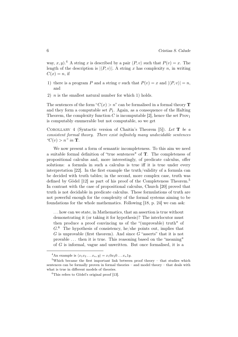way, *x*, *y*).<sup>4</sup> A string *x* is described by a pair  $\langle P, v \rangle$  such that  $P(v) = x$ . The length of the description is  $|P, v\rangle$ . A string *x* has complexity *n*, in writing  $C(x) = n$ , if

- 1) there is a program *P* and a string *v* such that  $P(v) = x$  and  $|\langle P, v \rangle| = n$ , and
- 2) *n* is the smallest natural number for which 1) holds.

The sentences of the form " $C(x) > n$ " can be formalised in a formal theory **T** and they form a computable set  $P_1$ . Again, as a consequence of the Halting Theorem, the complexity function  $C$  is incomputable [2], hence the set  $Prov_1$ is computably enumerable but not computable, so we get

Corollary 4 (Syntactic version of Chaitin's Theorem [5]). *Let* T *be a consistent formal theory. There exist infinitely many undecidable sentences*  $^{\prime\prime}C(v) > n^{\prime\prime}$  *in* **T**.

We now present a form of semantic incompleteness. To this aim we need a suitable formal definition of "true sentences" of T. The completeness of propositional calculus and, more interestingly, of predicate calculus, offer solutions: a formula in such a calculus is true iff it is true under every interpretation [22]. In the first example the truth/validity of a formula can be decided with truth tables; in the second, more complex case, truth was defined by Gödel [12] as part of his proof of the Completeness Theorem.<sup>5</sup> In contrast with the case of propositional calculus, Church [20] proved that truth is not decidable in predicate calculus. These formulations of truth are not powerful enough for the complexity of the formal systems aiming to be foundations for the whole mathematics. Following [18, p. 24] we can ask:

. . . how can we state, in Mathematics, that an assertion is true without demonstrating it (or taking it for hypothesis)? The interlocutor must then produce a proof convincing us of the "(unprovable) truth" of *G*. <sup>6</sup> The hypothesis of consistency, he/she points out, implies that *G* is unprovable (first theorem). And since *G* "asserts" that it is not provable . . . then it is true. This reasoning based on the "meaning" of *G* is informal, vague and unwritten. But once formalised, it is a

<sup>&</sup>lt;sup>4</sup>An example is  $\langle x_1 x_2 ... x_n, y \rangle = x_1 0 x_2 0 ... x_n 1 y$ .

<sup>5</sup>Which became the first important link between proof theory – that studies which sentences can be formally proven in formal theories – and model theory – that deals with what is true in different models of theories.

 ${}^{6}$ This refers to Gödel's original proof [13].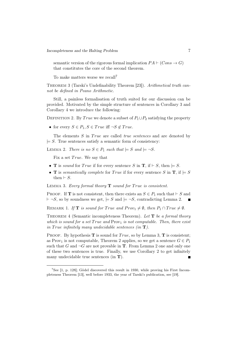semantic version of the rigorous formal implication  $PA \vdash (Cons \rightarrow G)$ that constitutes the core of the second theorem.

To make matters worse we recall<sup>7</sup>

Theorem 3 (Tarski's Undefinability Theorem [23]). *Arithmetical truth cannot be defined in Peano Arithmetic.*

Still, a painless formalisation of truth suited for our discussion can be provided. Motivated by the simple structure of sentences in Corollary 3 and Corollary 4 we introduce the following:

DEFINITION 2. By *True* we denote a subset of  $P_1 \cup P_2$  satisfying the property

• for every  $S \in P_1, S \in True$  iff  $\neg S \notin True$ .

The elements *S* in *True* are called *true sentences* and are denoted by  $\models S$ . True sentences satisfy a semantic form of consistency:

LEMMA 2. *There is no*  $S \in P_1$  *such that*  $\models S$  *and*  $\models \neg S$ *.* 

Fix a set *True*. We say that

- **T** is *sound* for *True* if for every sentence *S* in **T**, if  $\vdash$  *S*, then  $\models$  *S*.
- **T** is *semantically complete for True* if for every sentence *S* in **T**, if  $\models S$ then  $\vdash S$ .

LEMMA 3. *Every formal theory* **T** *sound for True is consistent.* 

**PROOF.** If **T** is not consistent, then there exists an  $S \in P_1$  such that  $\vdash S$  and  $\dashv \neg S$ , so by soundness we get,  $\not\vdash S$  and  $\not\vdash \neg S$ , contradicting Lemma 2.

REMARK 1. If **T** is sound for True and  $Prov_1 \neq \emptyset$ , then  $P_1 \cap True \neq \emptyset$ .

Theorem 4 (Semantic incompleteness Theorem). *Let* T *be a formal theory which is sound for a set True and* Prov<sub>1</sub> *is not computable. Then, there exist in True infinitely* many undecidable sentences (in **T**).

PROOF. By hypothesis  $\mathbf T$  is sound for *True*, so by Lemma 3,  $\mathbf T$  is consistent; as Prov<sub>1</sub> is not computable, Theorem 2 applies, so we get a sentence  $G \in P_1$ such that *G* and  $\neg G$  are not provable in **T**. From Lemma 2 one and only one of these two sentences is true. Finally, we use Corollary 2 to get infinitely many undecidable true sentences (in  $\mathbf{T}$ ). П

<sup>&</sup>lt;sup>7</sup>See  $[1, p. 128]$ ; Gödel discovered this result in 1930, while proving his First Incompleteness Theorem [13], well before 1933, the year of Tarski's publication, see [19].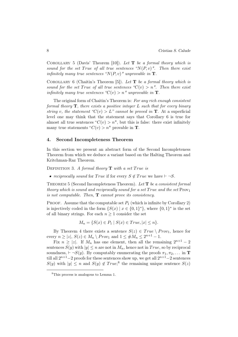Corollary 5 (Davis' Theorem [10]). *Let* T *be a formal theory which is sound for the set True of all true sentences "* $N(P, v)$ *". Then there exist infinitely many true sentences "* $N(P, v)$ *" unprovable in* **T**.

Corollary 6 (Chaitin's Theorem [5]). *Let* T *be a formal theory which is sound for the set True of all true sentences "* $C(v) > n$ *". Then there exist infinitely many true sentences "* $C(v) > n$ " *unprovable in* **T**.

The original form of Chaitin's Theorem is: *For any rich enough consistent formal theory* T*, there exists a positive integer L such that for every binary string v, the statement* " $C(v) > L$ " *cannot be proved in* **T**. At a superficial level one may think that the statement says that Corollary 6 is true for almost all true sentences " $C(v) > n$ ", but this is false: there exist infinitely many true statements " $C(v) > n$ " provable in **T**.

#### 4. Second Incompleteness Theorem

In this section we present an abstract form of the Second Incompleteness Theorem from which we deduce a variant based on the Halting Theorem and Kritchman-Raz Theorem.

DEFINITION 3. *A formal theory* **T** with a set *True* is

• *reciprocally sound* for *True* if for every  $S \notin True$  we have  $\vdash \neg S$ .

Theorem 5 (Second Incompleteness Theorem). *Let* T *be a consistent formal theory which is sound and reciprocally sound for a set True and the set*  $Prov<sub>1</sub>$ *is not computable. Then,* T *cannot prove its consistency.*

PROOF. Assume that the computable set  $P_1$  (which is infinite by Corollary 2) is injectively coded in the form  $\{S(x) | x \in \{0,1\}^*\}$ , where  $\{0,1\}^*$  is the set of all binary strings. For each  $n \geq 1$  consider the set

$$
M_n = \{ S(x) \in P_1 \mid S(x) \in True, |x| \le n \}.
$$

By Theorem 4 there exists a sentence  $S(z) \in True \setminus Prov_1$ , hence for every  $n \geq |z|$ ,  $S(z) \in M_n \setminus Prov_1$  and  $1 \leq \#M_n \leq 2^{n+1} - 1$ .

Fix  $n \geq |z|$ . If  $M_n$  has one element, then all the remaining  $2^{n+1} - 2$ sentences  $S(y)$  with  $|y| \leq n$  are not in  $M_n$ , hence not in *True*, so by reciprocal soundness,  $\vdash \neg S(y)$ . By computably enumerating the proofs  $\pi_1, \pi_2, \ldots$  in **T** till all  $2^{n+1}-2$  proofs for these sentences show up, we get all  $2^{n+1}-2$  sentences  $S(y)$  with  $|y| \leq n$  and  $S(y) \notin True;$ <sup>8</sup> the remaining unique sentence  $S(z)$ 

<sup>8</sup>This process is analogous to Lemma 1.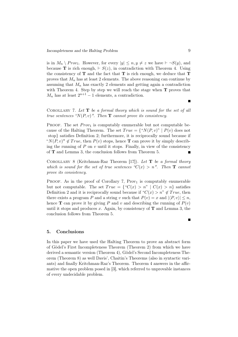is in  $M_n \setminus Prov_1$ . However, for every  $|y| \leq n, y \neq z$  we have  $\vdash \neg S(y)$ , and because **T** is rich enough,  $\vdash S(z)$ , in contradiction with Theorem 4. Using the consistency of  $T$  and the fact that  $T$  is rich enough, we deduce that  $T$ proves that  $M_n$  has at least 2 elements. The above reasoning can continue by assuming that  $M_n$  has exactly 2 elements and getting again a contradiction with Theorem 4. Step by step we will reach the stage when  $T$  proves that  $M_n$  has at least  $2^{n+1} - 1$  elements, a contradiction.

Corollary 7. *Let* T *be a formal theory which is sound for the set of all true sentences "N(P, v)". Then*  $\mathbf{T}$  *cannot prove its consistency.* 

PROOF. The set *Prov*<sub>1</sub> is computably enumerable but not computable because of the Halting Theorem. The set  $True = \{``N(P, v)" \mid P(v) \text{ does not} \}$ stop*}* satisfies Definition 2; furthermore, it is reciprocally sound because if " $N(P, v)$ "  $\notin True$ , then  $P(v)$  stops, hence **T** can prove it by simply describing the running of *P* on *v* until it stops. Finally, in view of the consistency of T and Lemma 3, the conclusion follows from Theorem 5.  $\blacksquare$ 

Corollary 8 (Kritchman-Raz Theorem [17]). *Let* T *be a formal theory which is sound for the set of true sentences "* $C(x) > n$ *". Then* **T** *cannot prove its consistency.*

PROOF. As in the proof of Corollary 7, Prov<sub>1</sub> is computably enumerable but not computable. The set  $True = \{C(x) > n\}$   $|C(x) > n\}$  satisfies Definition 2 and it is reciprocally sound because if " $C(x) > n$ "  $\notin True$ , then there exists a program *P* and a string *v* such that  $P(v) = x$  and  $|\langle P, v \rangle| \leq n$ , hence **T** can prove it by giving *P* and *v* and describing the running of  $P(v)$ until it stops and produces  $x$ . Again, by consistency of  $\bf{T}$  and Lemma 3, the conclusion follows from Theorem 5.

#### 5. Conclusions

In this paper we have used the Halting Theorem to prove an abstract form of Gödel's First Incompleteness Theorem (Theorem 2) from which we have derived a semantic version (Theorem 4), Gödel's Second Incompleteness Theorem (Theorem 8) as well Davis', Chaitin's Theorems (also in syntactic variants) and finally Kritchman-Raz's Theorem. Theorem 4 answers in the affirmative the open problem posed in [3], which referred to unprovable instances of every undecidable problem.

Г

П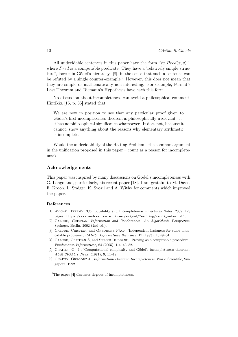All undecidable sentences in this paper have the form " $\forall x$ [*Pred*(*x, y*)]", where *Pred* is a computable predicate. They have a "relatively simple structure", lowest in Gödel's hierarchy [8], in the sense that such a sentence can be refuted by a single counter-example.<sup>9</sup> However, this does not mean that they are simple or mathematically non-interesting. For example, Fermat's Last Theorem and Riemann's Hypothesis have each this form.

No discussion about incompleteness can avoid a philosophical comment. Hintikka [15, p. 35] stated that

We are now in position to see that any particular proof given to Gödel's first incompleteness theorem is philosophically irrelevant. ... it has no philosophical significance whatsoever. It does not, because it cannot, show anything about the reasons why elementary arithmetic is incomplete.

Would the undecidability of the Halting Problem – the common argument in the unification proposed in this paper – count as a reason for incompleteness?

#### Acknowledgements

This paper was inspired by many discussions on Gödel's incompleteness with G. Longo and, particularly, his recent paper [18]. I am grateful to M. Davis, F. Kroon, L. Staiger, K. Svozil and A. Withy for comments which improved the paper.

#### References

- [1] Avigad, Jeremy, 'Computability and Incompleteness Lectures Notes, 2007, 128 pages, https://www.andrew.cmu.edu/user/avigad/Teaching/candi\_notes.pdf', .
- [2] Calude, Cristian, *Information and Randomness—An Algorithmic Perspective*, Springer, Berlin, 2002 (2nd ed.).
- [3] Calude, Cristian, and Gheorghe Păun, 'Independent instances for some undecidable problems', *RAIRO. Informatique théorique*, 17 (1983), 1, 49–54.
- [4] CALUDE, CRISTIAN S, and SERGIU RUDEANU, 'Proving as a computable procedure', *Fundamenta Informaticae*, 64 (2005), 1-4, 43–52.
- [5] Chaitin, G. J., 'Computational complexity and Gödel's incompleteness theorem', *ACM SIGACT News*, (1971), 9, 11–12.
- [6] Chaitin, Gregory J., *Information-Theoretic Incompleteness*, World Scientific, Singapore, 1992.

<sup>&</sup>lt;sup>9</sup>The paper [4] discusses degrees of incompleteness.